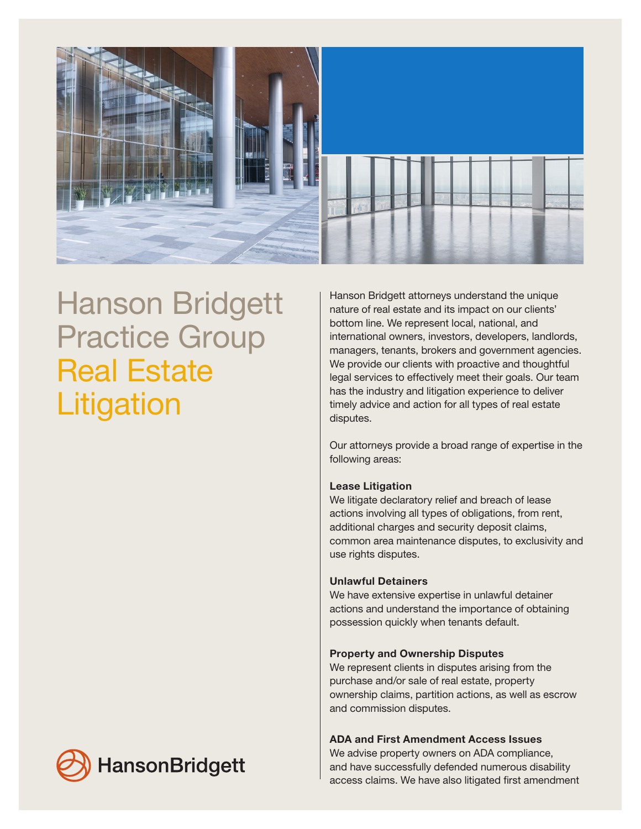

# Hanson Bridgett Practice Group Real Estate **Litigation**

Hanson Bridgett attorneys understand the unique nature of real estate and its impact on our clients' bottom line. We represent local, national, and international owners, investors, developers, landlords, managers, tenants, brokers and government agencies. We provide our clients with proactive and thoughtful legal services to effectively meet their goals. Our team has the industry and litigation experience to deliver timely advice and action for all types of real estate disputes.

Our attorneys provide a broad range of expertise in the following areas:

## Lease Litigation

We litigate declaratory relief and breach of lease actions involving all types of obligations, from rent, additional charges and security deposit claims, common area maintenance disputes, to exclusivity and use rights disputes.

# Unlawful Detainers

We have extensive expertise in unlawful detainer actions and understand the importance of obtaining possession quickly when tenants default.

## Property and Ownership Disputes

We represent clients in disputes arising from the purchase and/or sale of real estate, property ownership claims, partition actions, as well as escrow and commission disputes.

# ADA and First Amendment Access Issues

We advise property owners on ADA compliance, and have successfully defended numerous disability access claims. We have also litigated first amendment